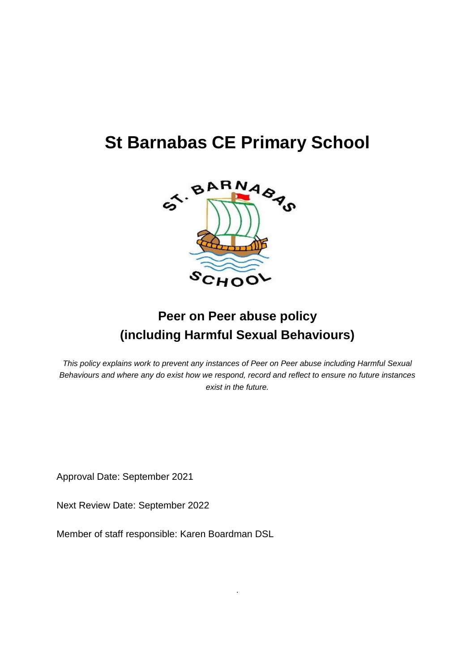# **St Barnabas CE Primary School**



## **Peer on Peer abuse policy (including Harmful Sexual Behaviours)**

*This policy explains work to prevent any instances of Peer on Peer abuse including Harmful Sexual Behaviours and where any do exist how we respond, record and reflect to ensure no future instances exist in the future.*

.

Approval Date: September 2021

Next Review Date: September 2022

Member of staff responsible: Karen Boardman DSL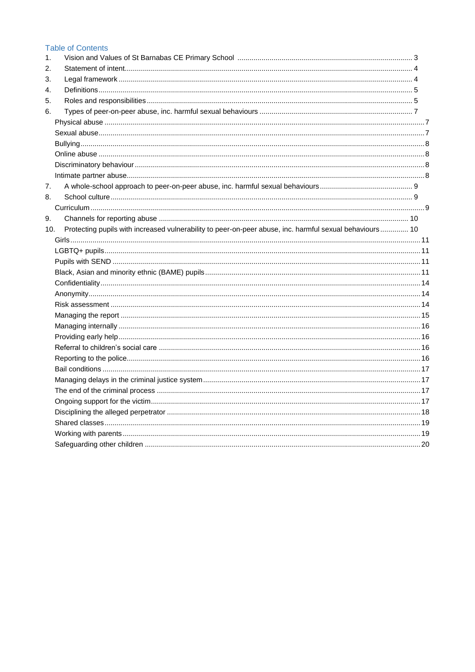#### **Table of Contents**

| 1.  |                                                                                                         |  |
|-----|---------------------------------------------------------------------------------------------------------|--|
| 2.  |                                                                                                         |  |
| 3.  |                                                                                                         |  |
| 4.  |                                                                                                         |  |
| 5.  |                                                                                                         |  |
| 6.  |                                                                                                         |  |
|     |                                                                                                         |  |
|     |                                                                                                         |  |
|     |                                                                                                         |  |
|     |                                                                                                         |  |
|     |                                                                                                         |  |
|     |                                                                                                         |  |
| 7.  |                                                                                                         |  |
| 8.  |                                                                                                         |  |
|     |                                                                                                         |  |
| 9.  |                                                                                                         |  |
| 10. | Protecting pupils with increased vulnerability to peer-on-peer abuse, inc. harmful sexual behaviours 10 |  |
|     |                                                                                                         |  |
|     |                                                                                                         |  |
|     |                                                                                                         |  |
|     |                                                                                                         |  |
|     |                                                                                                         |  |
|     |                                                                                                         |  |
|     |                                                                                                         |  |
|     |                                                                                                         |  |
|     |                                                                                                         |  |
|     |                                                                                                         |  |
|     |                                                                                                         |  |
|     |                                                                                                         |  |
|     |                                                                                                         |  |
|     |                                                                                                         |  |
|     |                                                                                                         |  |
|     |                                                                                                         |  |
|     |                                                                                                         |  |
|     |                                                                                                         |  |
|     |                                                                                                         |  |
|     |                                                                                                         |  |
|     |                                                                                                         |  |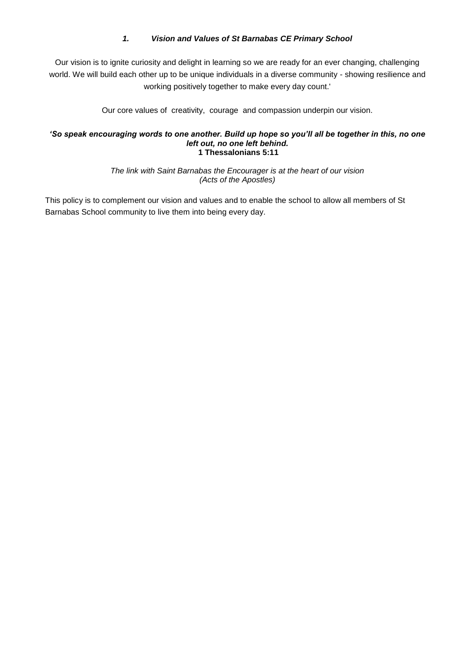#### *1. Vision and Values of St Barnabas CE Primary School*

<span id="page-2-0"></span>Our vision is to ignite curiosity and delight in learning so we are ready for an ever changing, challenging world. We will build each other up to be unique individuals in a diverse community - showing resilience and working positively together to make every day count.'

Our core values of creativity, courage and compassion underpin our vision.

#### *'So speak encouraging words to one another. Build up hope so you'll all be together in this, no one left out, no one left behind.* **1 Thessalonians 5:11**

*The link with Saint Barnabas the Encourager is at the heart of our vision (Acts of the Apostles)*

This policy is to complement our vision and values and to enable the school to allow all members of St Barnabas School community to live them into being every day.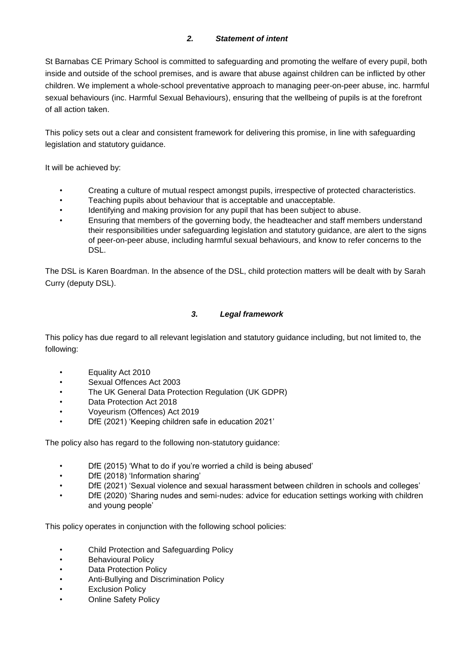## *2. Statement of intent*

<span id="page-3-0"></span>St Barnabas CE Primary School is committed to safeguarding and promoting the welfare of every pupil, both inside and outside of the school premises, and is aware that abuse against children can be inflicted by other children. We implement a whole-school preventative approach to managing peer-on-peer abuse, inc. harmful sexual behaviours (inc. Harmful Sexual Behaviours), ensuring that the wellbeing of pupils is at the forefront of all action taken.

This policy sets out a clear and consistent framework for delivering this promise, in line with safeguarding legislation and statutory guidance.

It will be achieved by:

- Creating a culture of mutual respect amongst pupils, irrespective of protected characteristics.
- Teaching pupils about behaviour that is acceptable and unacceptable.
- Identifying and making provision for any pupil that has been subject to abuse.
- Ensuring that members of the governing body, the headteacher and staff members understand their responsibilities under safeguarding legislation and statutory guidance, are alert to the signs of peer-on-peer abuse, including harmful sexual behaviours, and know to refer concerns to the DSL.

The DSL is Karen Boardman. In the absence of the DSL, child protection matters will be dealt with by Sarah Curry (deputy DSL).

#### *3. Legal framework*

<span id="page-3-1"></span>This policy has due regard to all relevant legislation and statutory guidance including, but not limited to, the following:

- Equality Act 2010
- Sexual Offences Act 2003
- The UK General Data Protection Regulation (UK GDPR)
- Data Protection Act 2018
- Voyeurism (Offences) Act 2019
- DfE (2021) 'Keeping children safe in education 2021'

The policy also has regard to the following non-statutory guidance:

- DfE (2015) 'What to do if you're worried a child is being abused'
- DfE (2018) 'Information sharing'
- DfE (2021) 'Sexual violence and sexual harassment between children in schools and colleges'
- DfE (2020) 'Sharing nudes and semi-nudes: advice for education settings working with children and young people'

This policy operates in conjunction with the following school policies:

- Child Protection and Safeguarding Policy
- Behavioural Policy
- Data Protection Policy
- Anti-Bullying and Discrimination Policy
- **Exclusion Policy**
- **Online Safety Policy**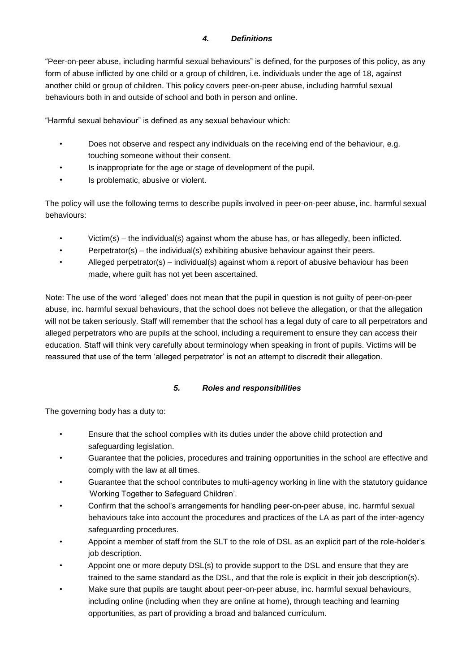## *4. Definitions*

<span id="page-4-0"></span>"Peer-on-peer abuse, including harmful sexual behaviours" is defined, for the purposes of this policy, as any form of abuse inflicted by one child or a group of children, i.e. individuals under the age of 18, against another child or group of children. This policy covers peer-on-peer abuse, including harmful sexual behaviours both in and outside of school and both in person and online.

"Harmful sexual behaviour" is defined as any sexual behaviour which:

- Does not observe and respect any individuals on the receiving end of the behaviour, e.g. touching someone without their consent.
- Is inappropriate for the age or stage of development of the pupil.
- Is problematic, abusive or violent.

The policy will use the following terms to describe pupils involved in peer-on-peer abuse, inc. harmful sexual behaviours:

- Victim(s) the individual(s) against whom the abuse has, or has allegedly, been inflicted.
- Perpetrator(s) the individual(s) exhibiting abusive behaviour against their peers.
- Alleged perpetrator(s) individual(s) against whom a report of abusive behaviour has been made, where guilt has not yet been ascertained.

Note: The use of the word 'alleged' does not mean that the pupil in question is not guilty of peer-on-peer abuse, inc. harmful sexual behaviours, that the school does not believe the allegation, or that the allegation will not be taken seriously. Staff will remember that the school has a legal duty of care to all perpetrators and alleged perpetrators who are pupils at the school, including a requirement to ensure they can access their education. Staff will think very carefully about terminology when speaking in front of pupils. Victims will be reassured that use of the term 'alleged perpetrator' is not an attempt to discredit their allegation.

## *5. Roles and responsibilities*

<span id="page-4-1"></span>The governing body has a duty to:

- Ensure that the school complies with its duties under the above child protection and safeguarding legislation.
- Guarantee that the policies, procedures and training opportunities in the school are effective and comply with the law at all times.
- Guarantee that the school contributes to multi-agency working in line with the statutory guidance 'Working Together to Safeguard Children'.
- Confirm that the school's arrangements for handling peer-on-peer abuse, inc. harmful sexual behaviours take into account the procedures and practices of the LA as part of the inter-agency safeguarding procedures.
- Appoint a member of staff from the SLT to the role of DSL as an explicit part of the role-holder's job description.
- Appoint one or more deputy DSL(s) to provide support to the DSL and ensure that they are trained to the same standard as the DSL, and that the role is explicit in their job description(s).
- Make sure that pupils are taught about peer-on-peer abuse, inc. harmful sexual behaviours, including online (including when they are online at home), through teaching and learning opportunities, as part of providing a broad and balanced curriculum.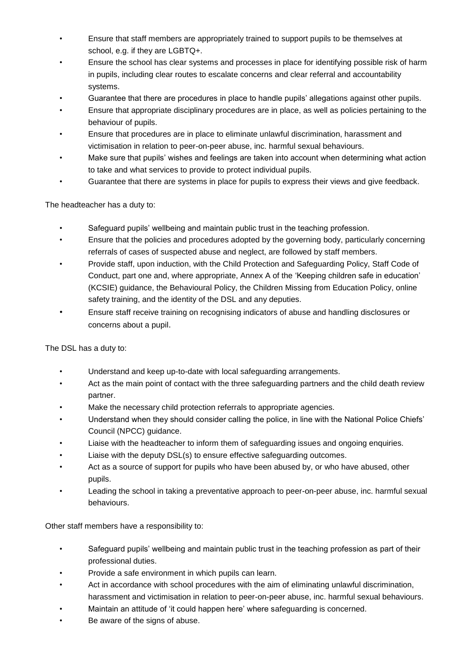- Ensure that staff members are appropriately trained to support pupils to be themselves at school, e.g. if they are LGBTQ+.
- Ensure the school has clear systems and processes in place for identifying possible risk of harm in pupils, including clear routes to escalate concerns and clear referral and accountability systems.
- Guarantee that there are procedures in place to handle pupils' allegations against other pupils.
- Ensure that appropriate disciplinary procedures are in place, as well as policies pertaining to the behaviour of pupils.
- Ensure that procedures are in place to eliminate unlawful discrimination, harassment and victimisation in relation to peer-on-peer abuse, inc. harmful sexual behaviours.
- Make sure that pupils' wishes and feelings are taken into account when determining what action to take and what services to provide to protect individual pupils.
- Guarantee that there are systems in place for pupils to express their views and give feedback.

The headteacher has a duty to:

- Safeguard pupils' wellbeing and maintain public trust in the teaching profession.
- Ensure that the policies and procedures adopted by the governing body, particularly concerning referrals of cases of suspected abuse and neglect, are followed by staff members.
- Provide staff, upon induction, with the Child Protection and Safeguarding Policy, Staff Code of Conduct, part one and, where appropriate, Annex A of the 'Keeping children safe in education' (KCSIE) guidance, the Behavioural Policy, the Children Missing from Education Policy, online safety training, and the identity of the DSL and any deputies.
- Ensure staff receive training on recognising indicators of abuse and handling disclosures or concerns about a pupil.

The DSL has a duty to:

- Understand and keep up-to-date with local safeguarding arrangements.
- Act as the main point of contact with the three safeguarding partners and the child death review partner.
- Make the necessary child protection referrals to appropriate agencies.
- Understand when they should consider calling the police, in line with the National Police Chiefs' Council (NPCC) guidance.
- Liaise with the headteacher to inform them of safeguarding issues and ongoing enquiries.
- Liaise with the deputy DSL(s) to ensure effective safeguarding outcomes.
- Act as a source of support for pupils who have been abused by, or who have abused, other pupils.
- Leading the school in taking a preventative approach to peer-on-peer abuse, inc. harmful sexual behaviours.

Other staff members have a responsibility to:

- Safeguard pupils' wellbeing and maintain public trust in the teaching profession as part of their professional duties.
- Provide a safe environment in which pupils can learn.
- Act in accordance with school procedures with the aim of eliminating unlawful discrimination, harassment and victimisation in relation to peer-on-peer abuse, inc. harmful sexual behaviours.
- Maintain an attitude of 'it could happen here' where safeguarding is concerned.
- Be aware of the signs of abuse.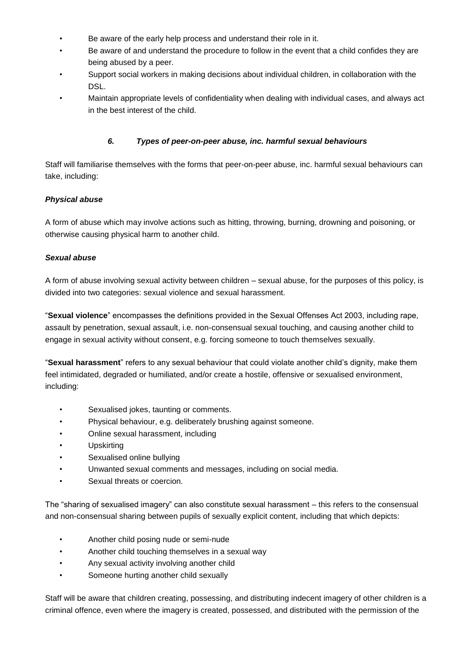- Be aware of the early help process and understand their role in it.
- Be aware of and understand the procedure to follow in the event that a child confides they are being abused by a peer.
- Support social workers in making decisions about individual children, in collaboration with the DSL.
- Maintain appropriate levels of confidentiality when dealing with individual cases, and always act in the best interest of the child.

#### *6. Types of peer-on-peer abuse, inc. harmful sexual behaviours*

<span id="page-6-0"></span>Staff will familiarise themselves with the forms that peer-on-peer abuse, inc. harmful sexual behaviours can take, including:

#### <span id="page-6-1"></span>*Physical abuse*

A form of abuse which may involve actions such as hitting, throwing, burning, drowning and poisoning, or otherwise causing physical harm to another child.

#### <span id="page-6-2"></span>*Sexual abuse*

A form of abuse involving sexual activity between children – sexual abuse, for the purposes of this policy, is divided into two categories: sexual violence and sexual harassment.

"**Sexual violence**" encompasses the definitions provided in the Sexual Offenses Act 2003, including rape, assault by penetration, sexual assault, i.e. non-consensual sexual touching, and causing another child to engage in sexual activity without consent, e.g. forcing someone to touch themselves sexually.

"**Sexual harassment**" refers to any sexual behaviour that could violate another child's dignity, make them feel intimidated, degraded or humiliated, and/or create a hostile, offensive or sexualised environment, including:

- Sexualised jokes, taunting or comments.
- Physical behaviour, e.g. deliberately brushing against someone.
- Online sexual harassment, including
- Upskirting
- Sexualised online bullying
- Unwanted sexual comments and messages, including on social media.
- Sexual threats or coercion.

The "sharing of sexualised imagery" can also constitute sexual harassment – this refers to the consensual and non-consensual sharing between pupils of sexually explicit content, including that which depicts:

- Another child posing nude or semi-nude
- Another child touching themselves in a sexual way
- Any sexual activity involving another child
- Someone hurting another child sexually

Staff will be aware that children creating, possessing, and distributing indecent imagery of other children is a criminal offence, even where the imagery is created, possessed, and distributed with the permission of the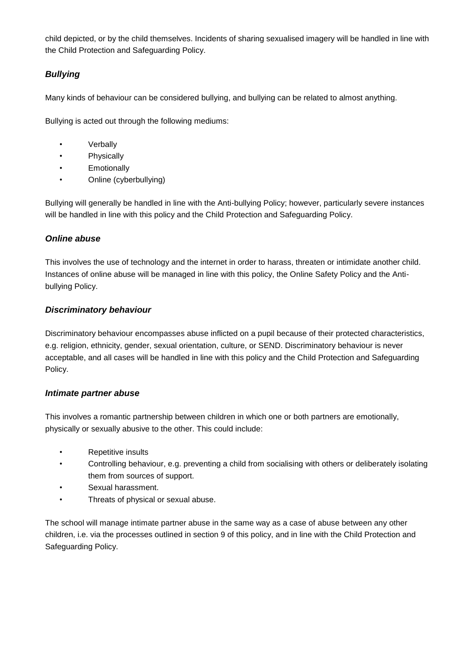child depicted, or by the child themselves. Incidents of sharing sexualised imagery will be handled in line with the Child Protection and Safeguarding Policy.

## <span id="page-7-0"></span>*Bullying*

Many kinds of behaviour can be considered bullying, and bullying can be related to almost anything.

Bullying is acted out through the following mediums:

- Verbally
- Physically
- **Emotionally**
- Online (cyberbullying)

Bullying will generally be handled in line with the Anti-bullying Policy; however, particularly severe instances will be handled in line with this policy and the Child Protection and Safeguarding Policy.

#### <span id="page-7-1"></span>*Online abuse*

This involves the use of technology and the internet in order to harass, threaten or intimidate another child. Instances of online abuse will be managed in line with this policy, the Online Safety Policy and the Antibullying Policy.

## <span id="page-7-2"></span>*Discriminatory behaviour*

Discriminatory behaviour encompasses abuse inflicted on a pupil because of their protected characteristics, e.g. religion, ethnicity, gender, sexual orientation, culture, or SEND. Discriminatory behaviour is never acceptable, and all cases will be handled in line with this policy and the Child Protection and Safeguarding Policy.

## <span id="page-7-3"></span>*Intimate partner abuse*

This involves a romantic partnership between children in which one or both partners are emotionally, physically or sexually abusive to the other. This could include:

- Repetitive insults
- Controlling behaviour, e.g. preventing a child from socialising with others or deliberately isolating them from sources of support.
- Sexual harassment.
- Threats of physical or sexual abuse.

The school will manage intimate partner abuse in the same way as a case of abuse between any other children, i.e. via the processes outlined in section 9 of this policy, and in line with the Child Protection and Safeguarding Policy.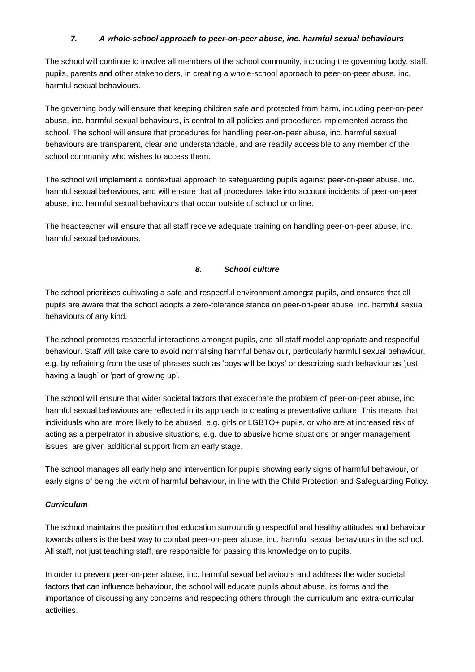#### *7. A whole-school approach to peer-on-peer abuse, inc. harmful sexual behaviours*

<span id="page-8-0"></span>The school will continue to involve all members of the school community, including the governing body, staff, pupils, parents and other stakeholders, in creating a whole-school approach to peer-on-peer abuse, inc. harmful sexual behaviours.

The governing body will ensure that keeping children safe and protected from harm, including peer-on-peer abuse, inc. harmful sexual behaviours, is central to all policies and procedures implemented across the school. The school will ensure that procedures for handling peer-on-peer abuse, inc. harmful sexual behaviours are transparent, clear and understandable, and are readily accessible to any member of the school community who wishes to access them.

The school will implement a contextual approach to safeguarding pupils against peer-on-peer abuse, inc. harmful sexual behaviours, and will ensure that all procedures take into account incidents of peer-on-peer abuse, inc. harmful sexual behaviours that occur outside of school or online.

The headteacher will ensure that all staff receive adequate training on handling peer-on-peer abuse, inc. harmful sexual behaviours.

#### *8. School culture*

<span id="page-8-1"></span>The school prioritises cultivating a safe and respectful environment amongst pupils, and ensures that all pupils are aware that the school adopts a zero-tolerance stance on peer-on-peer abuse, inc. harmful sexual behaviours of any kind.

The school promotes respectful interactions amongst pupils, and all staff model appropriate and respectful behaviour. Staff will take care to avoid normalising harmful behaviour, particularly harmful sexual behaviour, e.g. by refraining from the use of phrases such as 'boys will be boys' or describing such behaviour as 'just having a laugh' or 'part of growing up'.

The school will ensure that wider societal factors that exacerbate the problem of peer-on-peer abuse, inc. harmful sexual behaviours are reflected in its approach to creating a preventative culture. This means that individuals who are more likely to be abused, e.g. girls or LGBTQ+ pupils, or who are at increased risk of acting as a perpetrator in abusive situations, e.g. due to abusive home situations or anger management issues, are given additional support from an early stage.

The school manages all early help and intervention for pupils showing early signs of harmful behaviour, or early signs of being the victim of harmful behaviour, in line with the Child Protection and Safeguarding Policy.

## <span id="page-8-2"></span>*Curriculum*

The school maintains the position that education surrounding respectful and healthy attitudes and behaviour towards others is the best way to combat peer-on-peer abuse, inc. harmful sexual behaviours in the school. All staff, not just teaching staff, are responsible for passing this knowledge on to pupils.

In order to prevent peer-on-peer abuse, inc. harmful sexual behaviours and address the wider societal factors that can influence behaviour, the school will educate pupils about abuse, its forms and the importance of discussing any concerns and respecting others through the curriculum and extra-curricular activities.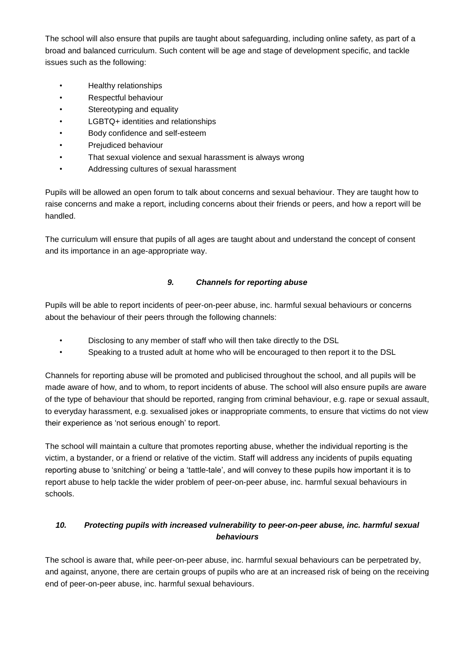The school will also ensure that pupils are taught about safeguarding, including online safety, as part of a broad and balanced curriculum. Such content will be age and stage of development specific, and tackle issues such as the following:

- Healthy relationships
- Respectful behaviour
- Stereotyping and equality
- LGBTQ+ identities and relationships
- Body confidence and self-esteem
- Prejudiced behaviour
- That sexual violence and sexual harassment is always wrong
- Addressing cultures of sexual harassment

Pupils will be allowed an open forum to talk about concerns and sexual behaviour. They are taught how to raise concerns and make a report, including concerns about their friends or peers, and how a report will be handled.

The curriculum will ensure that pupils of all ages are taught about and understand the concept of consent and its importance in an age-appropriate way.

## *9. Channels for reporting abuse*

<span id="page-9-0"></span>Pupils will be able to report incidents of peer-on-peer abuse, inc. harmful sexual behaviours or concerns about the behaviour of their peers through the following channels:

- Disclosing to any member of staff who will then take directly to the DSL
- Speaking to a trusted adult at home who will be encouraged to then report it to the DSL

Channels for reporting abuse will be promoted and publicised throughout the school, and all pupils will be made aware of how, and to whom, to report incidents of abuse. The school will also ensure pupils are aware of the type of behaviour that should be reported, ranging from criminal behaviour, e.g. rape or sexual assault, to everyday harassment, e.g. sexualised jokes or inappropriate comments, to ensure that victims do not view their experience as 'not serious enough' to report.

The school will maintain a culture that promotes reporting abuse, whether the individual reporting is the victim, a bystander, or a friend or relative of the victim. Staff will address any incidents of pupils equating reporting abuse to 'snitching' or being a 'tattle-tale', and will convey to these pupils how important it is to report abuse to help tackle the wider problem of peer-on-peer abuse, inc. harmful sexual behaviours in schools.

## <span id="page-9-1"></span>*10. Protecting pupils with increased vulnerability to peer-on-peer abuse, inc. harmful sexual behaviours*

The school is aware that, while peer-on-peer abuse, inc. harmful sexual behaviours can be perpetrated by, and against, anyone, there are certain groups of pupils who are at an increased risk of being on the receiving end of peer-on-peer abuse, inc. harmful sexual behaviours.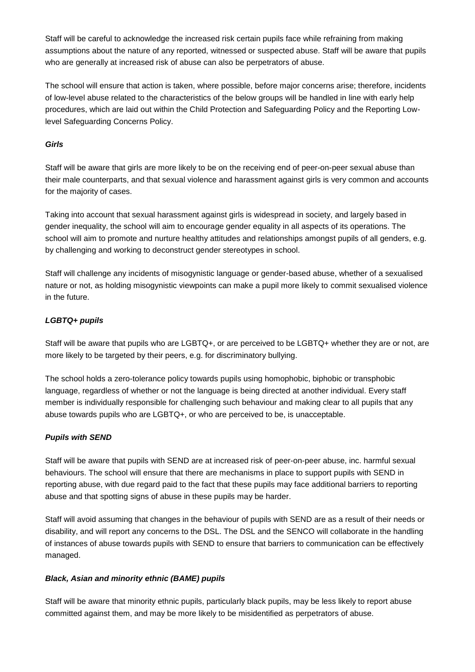Staff will be careful to acknowledge the increased risk certain pupils face while refraining from making assumptions about the nature of any reported, witnessed or suspected abuse. Staff will be aware that pupils who are generally at increased risk of abuse can also be perpetrators of abuse.

The school will ensure that action is taken, where possible, before major concerns arise; therefore, incidents of low-level abuse related to the characteristics of the below groups will be handled in line with early help procedures, which are laid out within the Child Protection and Safeguarding Policy and the Reporting Lowlevel Safeguarding Concerns Policy.

#### <span id="page-10-0"></span>*Girls*

Staff will be aware that girls are more likely to be on the receiving end of peer-on-peer sexual abuse than their male counterparts, and that sexual violence and harassment against girls is very common and accounts for the majority of cases.

Taking into account that sexual harassment against girls is widespread in society, and largely based in gender inequality, the school will aim to encourage gender equality in all aspects of its operations. The school will aim to promote and nurture healthy attitudes and relationships amongst pupils of all genders, e.g. by challenging and working to deconstruct gender stereotypes in school.

Staff will challenge any incidents of misogynistic language or gender-based abuse, whether of a sexualised nature or not, as holding misogynistic viewpoints can make a pupil more likely to commit sexualised violence in the future.

## <span id="page-10-1"></span>*LGBTQ+ pupils*

Staff will be aware that pupils who are LGBTQ+, or are perceived to be LGBTQ+ whether they are or not, are more likely to be targeted by their peers, e.g. for discriminatory bullying.

The school holds a zero-tolerance policy towards pupils using homophobic, biphobic or transphobic language, regardless of whether or not the language is being directed at another individual. Every staff member is individually responsible for challenging such behaviour and making clear to all pupils that any abuse towards pupils who are LGBTQ+, or who are perceived to be, is unacceptable.

#### <span id="page-10-2"></span>*Pupils with SEND*

Staff will be aware that pupils with SEND are at increased risk of peer-on-peer abuse, inc. harmful sexual behaviours. The school will ensure that there are mechanisms in place to support pupils with SEND in reporting abuse, with due regard paid to the fact that these pupils may face additional barriers to reporting abuse and that spotting signs of abuse in these pupils may be harder.

Staff will avoid assuming that changes in the behaviour of pupils with SEND are as a result of their needs or disability, and will report any concerns to the DSL. The DSL and the SENCO will collaborate in the handling of instances of abuse towards pupils with SEND to ensure that barriers to communication can be effectively managed.

## <span id="page-10-3"></span>*Black, Asian and minority ethnic (BAME) pupils*

Staff will be aware that minority ethnic pupils, particularly black pupils, may be less likely to report abuse committed against them, and may be more likely to be misidentified as perpetrators of abuse.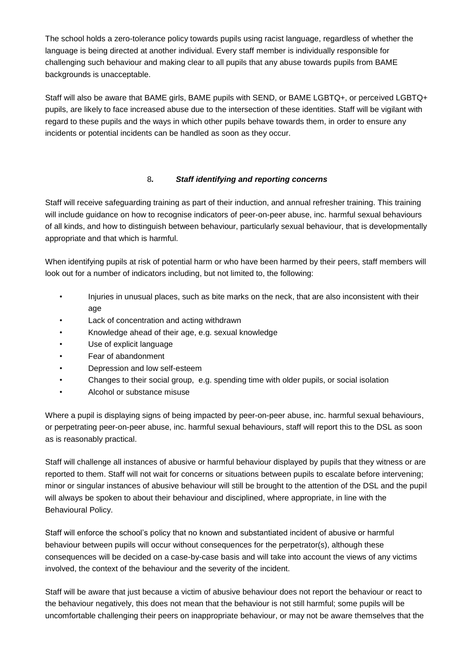The school holds a zero-tolerance policy towards pupils using racist language, regardless of whether the language is being directed at another individual. Every staff member is individually responsible for challenging such behaviour and making clear to all pupils that any abuse towards pupils from BAME backgrounds is unacceptable.

Staff will also be aware that BAME girls, BAME pupils with SEND, or BAME LGBTQ+, or perceived LGBTQ+ pupils, are likely to face increased abuse due to the intersection of these identities. Staff will be vigilant with regard to these pupils and the ways in which other pupils behave towards them, in order to ensure any incidents or potential incidents can be handled as soon as they occur.

#### 8*. Staff identifying and reporting concerns*

Staff will receive safeguarding training as part of their induction, and annual refresher training. This training will include quidance on how to recognise indicators of peer-on-peer abuse, inc. harmful sexual behaviours of all kinds, and how to distinguish between behaviour, particularly sexual behaviour, that is developmentally appropriate and that which is harmful.

When identifying pupils at risk of potential harm or who have been harmed by their peers, staff members will look out for a number of indicators including, but not limited to, the following:

- Injuries in unusual places, such as bite marks on the neck, that are also inconsistent with their age
- Lack of concentration and acting withdrawn
- Knowledge ahead of their age, e.g. sexual knowledge
- Use of explicit language
- Fear of abandonment
- Depression and low self-esteem
- Changes to their social group, e.g. spending time with older pupils, or social isolation
- Alcohol or substance misuse

Where a pupil is displaying signs of being impacted by peer-on-peer abuse, inc. harmful sexual behaviours, or perpetrating peer-on-peer abuse, inc. harmful sexual behaviours, staff will report this to the DSL as soon as is reasonably practical.

Staff will challenge all instances of abusive or harmful behaviour displayed by pupils that they witness or are reported to them. Staff will not wait for concerns or situations between pupils to escalate before intervening; minor or singular instances of abusive behaviour will still be brought to the attention of the DSL and the pupil will always be spoken to about their behaviour and disciplined, where appropriate, in line with the Behavioural Policy.

Staff will enforce the school's policy that no known and substantiated incident of abusive or harmful behaviour between pupils will occur without consequences for the perpetrator(s), although these consequences will be decided on a case-by-case basis and will take into account the views of any victims involved, the context of the behaviour and the severity of the incident.

Staff will be aware that just because a victim of abusive behaviour does not report the behaviour or react to the behaviour negatively, this does not mean that the behaviour is not still harmful; some pupils will be uncomfortable challenging their peers on inappropriate behaviour, or may not be aware themselves that the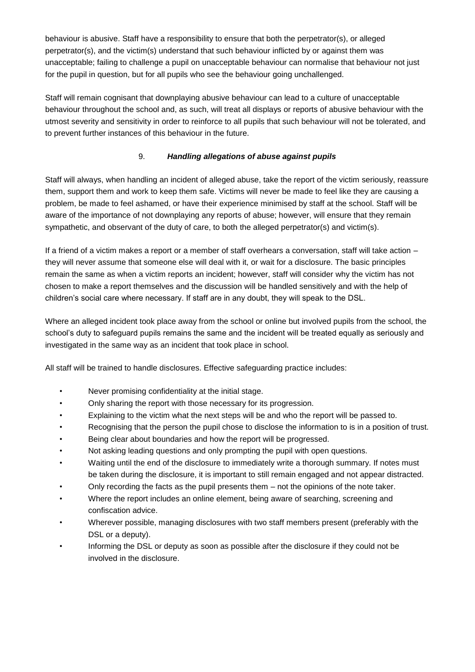behaviour is abusive. Staff have a responsibility to ensure that both the perpetrator(s), or alleged perpetrator(s), and the victim(s) understand that such behaviour inflicted by or against them was unacceptable; failing to challenge a pupil on unacceptable behaviour can normalise that behaviour not just for the pupil in question, but for all pupils who see the behaviour going unchallenged.

Staff will remain cognisant that downplaying abusive behaviour can lead to a culture of unacceptable behaviour throughout the school and, as such, will treat all displays or reports of abusive behaviour with the utmost severity and sensitivity in order to reinforce to all pupils that such behaviour will not be tolerated, and to prevent further instances of this behaviour in the future.

## 9. *Handling allegations of abuse against pupils*

Staff will always, when handling an incident of alleged abuse, take the report of the victim seriously, reassure them, support them and work to keep them safe. Victims will never be made to feel like they are causing a problem, be made to feel ashamed, or have their experience minimised by staff at the school. Staff will be aware of the importance of not downplaying any reports of abuse; however, will ensure that they remain sympathetic, and observant of the duty of care, to both the alleged perpetrator(s) and victim(s).

If a friend of a victim makes a report or a member of staff overhears a conversation, staff will take action – they will never assume that someone else will deal with it, or wait for a disclosure. The basic principles remain the same as when a victim reports an incident; however, staff will consider why the victim has not chosen to make a report themselves and the discussion will be handled sensitively and with the help of children's social care where necessary. If staff are in any doubt, they will speak to the DSL.

Where an alleged incident took place away from the school or online but involved pupils from the school, the school's duty to safeguard pupils remains the same and the incident will be treated equally as seriously and investigated in the same way as an incident that took place in school.

All staff will be trained to handle disclosures. Effective safeguarding practice includes:

- Never promising confidentiality at the initial stage.
- Only sharing the report with those necessary for its progression.
- Explaining to the victim what the next steps will be and who the report will be passed to.
- Recognising that the person the pupil chose to disclose the information to is in a position of trust.
- Being clear about boundaries and how the report will be progressed.
- Not asking leading questions and only prompting the pupil with open questions.
- Waiting until the end of the disclosure to immediately write a thorough summary. If notes must be taken during the disclosure, it is important to still remain engaged and not appear distracted.
- Only recording the facts as the pupil presents them not the opinions of the note taker.
- Where the report includes an online element, being aware of searching, screening and confiscation advice.
- Wherever possible, managing disclosures with two staff members present (preferably with the DSL or a deputy).
- Informing the DSL or deputy as soon as possible after the disclosure if they could not be involved in the disclosure.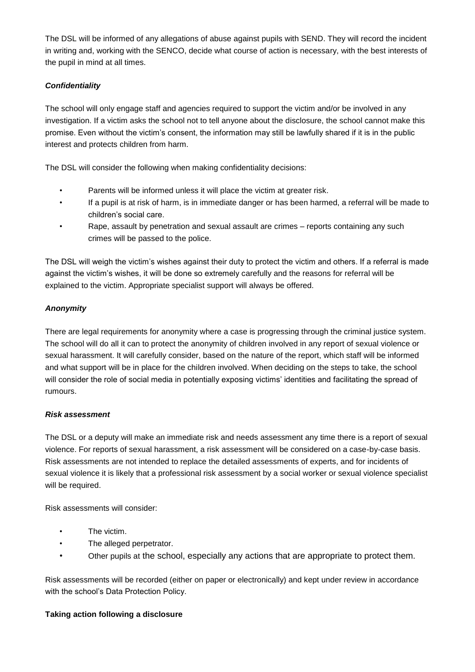The DSL will be informed of any allegations of abuse against pupils with SEND. They will record the incident in writing and, working with the SENCO, decide what course of action is necessary, with the best interests of the pupil in mind at all times.

## <span id="page-13-0"></span>*Confidentiality*

The school will only engage staff and agencies required to support the victim and/or be involved in any investigation. If a victim asks the school not to tell anyone about the disclosure, the school cannot make this promise. Even without the victim's consent, the information may still be lawfully shared if it is in the public interest and protects children from harm.

The DSL will consider the following when making confidentiality decisions:

- Parents will be informed unless it will place the victim at greater risk.
- If a pupil is at risk of harm, is in immediate danger or has been harmed, a referral will be made to children's social care.
- Rape, assault by penetration and sexual assault are crimes reports containing any such crimes will be passed to the police.

The DSL will weigh the victim's wishes against their duty to protect the victim and others. If a referral is made against the victim's wishes, it will be done so extremely carefully and the reasons for referral will be explained to the victim. Appropriate specialist support will always be offered.

## <span id="page-13-1"></span>*Anonymity*

There are legal requirements for anonymity where a case is progressing through the criminal justice system. The school will do all it can to protect the anonymity of children involved in any report of sexual violence or sexual harassment. It will carefully consider, based on the nature of the report, which staff will be informed and what support will be in place for the children involved. When deciding on the steps to take, the school will consider the role of social media in potentially exposing victims' identities and facilitating the spread of rumours.

## <span id="page-13-2"></span>*Risk assessment*

The DSL or a deputy will make an immediate risk and needs assessment any time there is a report of sexual violence. For reports of sexual harassment, a risk assessment will be considered on a case-by-case basis. Risk assessments are not intended to replace the detailed assessments of experts, and for incidents of sexual violence it is likely that a professional risk assessment by a social worker or sexual violence specialist will be required.

Risk assessments will consider:

- The victim.
- The alleged perpetrator.
- Other pupils at the school, especially any actions that are appropriate to protect them.

Risk assessments will be recorded (either on paper or electronically) and kept under review in accordance with the school's Data Protection Policy.

## **Taking action following a disclosure**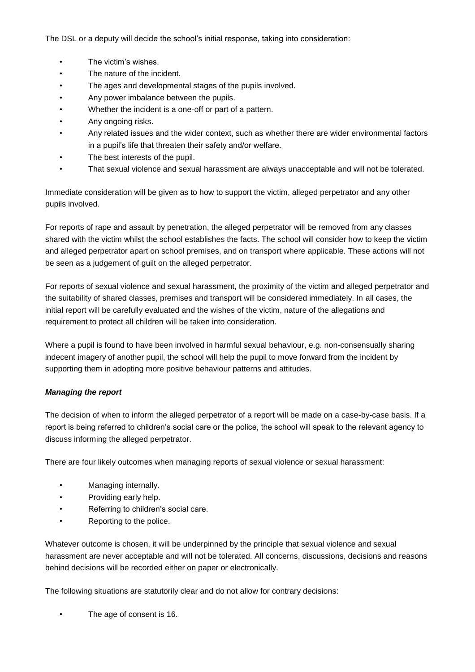The DSL or a deputy will decide the school's initial response, taking into consideration:

- The victim's wishes.
- The nature of the incident.
- The ages and developmental stages of the pupils involved.
- Any power imbalance between the pupils.
- Whether the incident is a one-off or part of a pattern.
- Any ongoing risks.
- Any related issues and the wider context, such as whether there are wider environmental factors in a pupil's life that threaten their safety and/or welfare.
- The best interests of the pupil.
- That sexual violence and sexual harassment are always unacceptable and will not be tolerated.

Immediate consideration will be given as to how to support the victim, alleged perpetrator and any other pupils involved.

For reports of rape and assault by penetration, the alleged perpetrator will be removed from any classes shared with the victim whilst the school establishes the facts. The school will consider how to keep the victim and alleged perpetrator apart on school premises, and on transport where applicable. These actions will not be seen as a judgement of guilt on the alleged perpetrator.

For reports of sexual violence and sexual harassment, the proximity of the victim and alleged perpetrator and the suitability of shared classes, premises and transport will be considered immediately. In all cases, the initial report will be carefully evaluated and the wishes of the victim, nature of the allegations and requirement to protect all children will be taken into consideration.

Where a pupil is found to have been involved in harmful sexual behaviour, e.g. non-consensually sharing indecent imagery of another pupil, the school will help the pupil to move forward from the incident by supporting them in adopting more positive behaviour patterns and attitudes.

## <span id="page-14-0"></span>*Managing the report*

The decision of when to inform the alleged perpetrator of a report will be made on a case-by-case basis. If a report is being referred to children's social care or the police, the school will speak to the relevant agency to discuss informing the alleged perpetrator.

There are four likely outcomes when managing reports of sexual violence or sexual harassment:

- Managing internally.
- Providing early help.
- Referring to children's social care.
- Reporting to the police.

Whatever outcome is chosen, it will be underpinned by the principle that sexual violence and sexual harassment are never acceptable and will not be tolerated. All concerns, discussions, decisions and reasons behind decisions will be recorded either on paper or electronically.

The following situations are statutorily clear and do not allow for contrary decisions:

The age of consent is 16.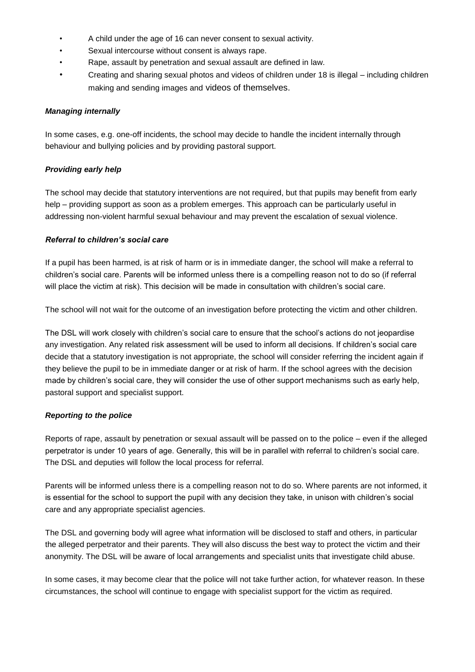- A child under the age of 16 can never consent to sexual activity.
- Sexual intercourse without consent is always rape.
- Rape, assault by penetration and sexual assault are defined in law.
- Creating and sharing sexual photos and videos of children under 18 is illegal including children making and sending images and videos of themselves.

#### <span id="page-15-0"></span>*Managing internally*

In some cases, e.g. one-off incidents, the school may decide to handle the incident internally through behaviour and bullying policies and by providing pastoral support.

#### <span id="page-15-1"></span>*Providing early help*

The school may decide that statutory interventions are not required, but that pupils may benefit from early help – providing support as soon as a problem emerges. This approach can be particularly useful in addressing non-violent harmful sexual behaviour and may prevent the escalation of sexual violence.

#### <span id="page-15-2"></span>*Referral to children's social care*

If a pupil has been harmed, is at risk of harm or is in immediate danger, the school will make a referral to children's social care. Parents will be informed unless there is a compelling reason not to do so (if referral will place the victim at risk). This decision will be made in consultation with children's social care.

The school will not wait for the outcome of an investigation before protecting the victim and other children.

The DSL will work closely with children's social care to ensure that the school's actions do not jeopardise any investigation. Any related risk assessment will be used to inform all decisions. If children's social care decide that a statutory investigation is not appropriate, the school will consider referring the incident again if they believe the pupil to be in immediate danger or at risk of harm. If the school agrees with the decision made by children's social care, they will consider the use of other support mechanisms such as early help, pastoral support and specialist support.

#### <span id="page-15-3"></span>*Reporting to the police*

Reports of rape, assault by penetration or sexual assault will be passed on to the police – even if the alleged perpetrator is under 10 years of age. Generally, this will be in parallel with referral to children's social care. The DSL and deputies will follow the local process for referral.

Parents will be informed unless there is a compelling reason not to do so. Where parents are not informed, it is essential for the school to support the pupil with any decision they take, in unison with children's social care and any appropriate specialist agencies.

The DSL and governing body will agree what information will be disclosed to staff and others, in particular the alleged perpetrator and their parents. They will also discuss the best way to protect the victim and their anonymity. The DSL will be aware of local arrangements and specialist units that investigate child abuse.

In some cases, it may become clear that the police will not take further action, for whatever reason. In these circumstances, the school will continue to engage with specialist support for the victim as required.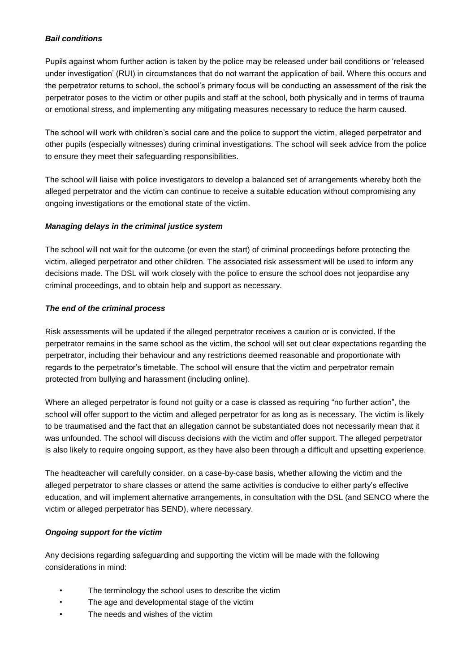#### <span id="page-16-0"></span>*Bail conditions*

Pupils against whom further action is taken by the police may be released under bail conditions or 'released under investigation' (RUI) in circumstances that do not warrant the application of bail. Where this occurs and the perpetrator returns to school, the school's primary focus will be conducting an assessment of the risk the perpetrator poses to the victim or other pupils and staff at the school, both physically and in terms of trauma or emotional stress, and implementing any mitigating measures necessary to reduce the harm caused.

The school will work with children's social care and the police to support the victim, alleged perpetrator and other pupils (especially witnesses) during criminal investigations. The school will seek advice from the police to ensure they meet their safeguarding responsibilities.

The school will liaise with police investigators to develop a balanced set of arrangements whereby both the alleged perpetrator and the victim can continue to receive a suitable education without compromising any ongoing investigations or the emotional state of the victim.

#### <span id="page-16-1"></span>*Managing delays in the criminal justice system*

The school will not wait for the outcome (or even the start) of criminal proceedings before protecting the victim, alleged perpetrator and other children. The associated risk assessment will be used to inform any decisions made. The DSL will work closely with the police to ensure the school does not jeopardise any criminal proceedings, and to obtain help and support as necessary.

#### <span id="page-16-2"></span>*The end of the criminal process*

Risk assessments will be updated if the alleged perpetrator receives a caution or is convicted. If the perpetrator remains in the same school as the victim, the school will set out clear expectations regarding the perpetrator, including their behaviour and any restrictions deemed reasonable and proportionate with regards to the perpetrator's timetable. The school will ensure that the victim and perpetrator remain protected from bullying and harassment (including online).

Where an alleged perpetrator is found not guilty or a case is classed as requiring "no further action", the school will offer support to the victim and alleged perpetrator for as long as is necessary. The victim is likely to be traumatised and the fact that an allegation cannot be substantiated does not necessarily mean that it was unfounded. The school will discuss decisions with the victim and offer support. The alleged perpetrator is also likely to require ongoing support, as they have also been through a difficult and upsetting experience.

The headteacher will carefully consider, on a case-by-case basis, whether allowing the victim and the alleged perpetrator to share classes or attend the same activities is conducive to either party's effective education, and will implement alternative arrangements, in consultation with the DSL (and SENCO where the victim or alleged perpetrator has SEND), where necessary.

#### <span id="page-16-3"></span>*Ongoing support for the victim*

Any decisions regarding safeguarding and supporting the victim will be made with the following considerations in mind:

- The terminology the school uses to describe the victim
- The age and developmental stage of the victim
- The needs and wishes of the victim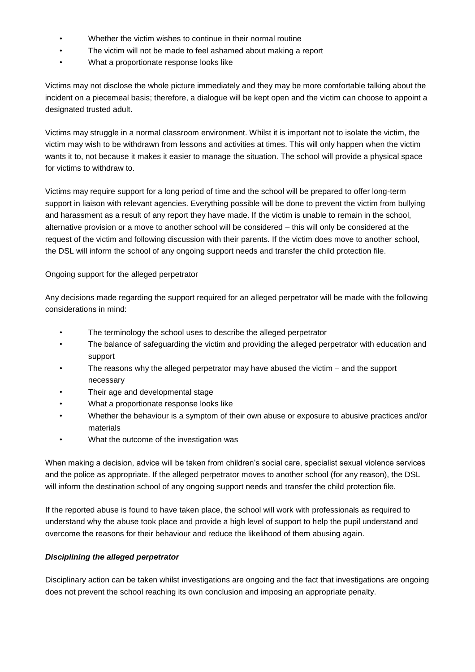- Whether the victim wishes to continue in their normal routine
- The victim will not be made to feel ashamed about making a report
- What a proportionate response looks like

Victims may not disclose the whole picture immediately and they may be more comfortable talking about the incident on a piecemeal basis; therefore, a dialogue will be kept open and the victim can choose to appoint a designated trusted adult.

Victims may struggle in a normal classroom environment. Whilst it is important not to isolate the victim, the victim may wish to be withdrawn from lessons and activities at times. This will only happen when the victim wants it to, not because it makes it easier to manage the situation. The school will provide a physical space for victims to withdraw to.

Victims may require support for a long period of time and the school will be prepared to offer long-term support in liaison with relevant agencies. Everything possible will be done to prevent the victim from bullying and harassment as a result of any report they have made. If the victim is unable to remain in the school, alternative provision or a move to another school will be considered – this will only be considered at the request of the victim and following discussion with their parents. If the victim does move to another school, the DSL will inform the school of any ongoing support needs and transfer the child protection file.

Ongoing support for the alleged perpetrator

Any decisions made regarding the support required for an alleged perpetrator will be made with the following considerations in mind:

- The terminology the school uses to describe the alleged perpetrator
- The balance of safeguarding the victim and providing the alleged perpetrator with education and support
- The reasons why the alleged perpetrator may have abused the victim  $-$  and the support necessary
- Their age and developmental stage
- What a proportionate response looks like
- Whether the behaviour is a symptom of their own abuse or exposure to abusive practices and/or materials
- What the outcome of the investigation was

When making a decision, advice will be taken from children's social care, specialist sexual violence services and the police as appropriate. If the alleged perpetrator moves to another school (for any reason), the DSL will inform the destination school of any ongoing support needs and transfer the child protection file.

If the reported abuse is found to have taken place, the school will work with professionals as required to understand why the abuse took place and provide a high level of support to help the pupil understand and overcome the reasons for their behaviour and reduce the likelihood of them abusing again.

#### <span id="page-17-0"></span>*Disciplining the alleged perpetrator*

Disciplinary action can be taken whilst investigations are ongoing and the fact that investigations are ongoing does not prevent the school reaching its own conclusion and imposing an appropriate penalty.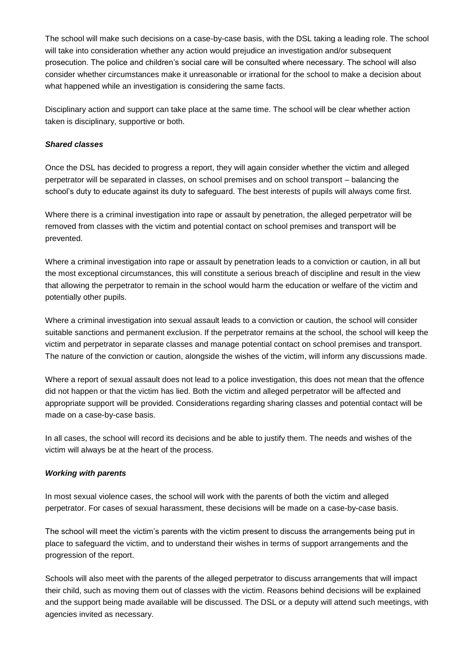The school will make such decisions on a case-by-case basis, with the DSL taking a leading role. The school will take into consideration whether any action would prejudice an investigation and/or subsequent prosecution. The police and children's social care will be consulted where necessary. The school will also consider whether circumstances make it unreasonable or irrational for the school to make a decision about what happened while an investigation is considering the same facts.

Disciplinary action and support can take place at the same time. The school will be clear whether action taken is disciplinary, supportive or both.

#### <span id="page-18-0"></span>*Shared classes*

Once the DSL has decided to progress a report, they will again consider whether the victim and alleged perpetrator will be separated in classes, on school premises and on school transport – balancing the school's duty to educate against its duty to safeguard. The best interests of pupils will always come first.

Where there is a criminal investigation into rape or assault by penetration, the alleged perpetrator will be removed from classes with the victim and potential contact on school premises and transport will be prevented.

Where a criminal investigation into rape or assault by penetration leads to a conviction or caution, in all but the most exceptional circumstances, this will constitute a serious breach of discipline and result in the view that allowing the perpetrator to remain in the school would harm the education or welfare of the victim and potentially other pupils.

Where a criminal investigation into sexual assault leads to a conviction or caution, the school will consider suitable sanctions and permanent exclusion. If the perpetrator remains at the school, the school will keep the victim and perpetrator in separate classes and manage potential contact on school premises and transport. The nature of the conviction or caution, alongside the wishes of the victim, will inform any discussions made.

Where a report of sexual assault does not lead to a police investigation, this does not mean that the offence did not happen or that the victim has lied. Both the victim and alleged perpetrator will be affected and appropriate support will be provided. Considerations regarding sharing classes and potential contact will be made on a case-by-case basis.

In all cases, the school will record its decisions and be able to justify them. The needs and wishes of the victim will always be at the heart of the process.

#### <span id="page-18-1"></span>*Working with parents*

In most sexual violence cases, the school will work with the parents of both the victim and alleged perpetrator. For cases of sexual harassment, these decisions will be made on a case-by-case basis.

The school will meet the victim's parents with the victim present to discuss the arrangements being put in place to safeguard the victim, and to understand their wishes in terms of support arrangements and the progression of the report.

Schools will also meet with the parents of the alleged perpetrator to discuss arrangements that will impact their child, such as moving them out of classes with the victim. Reasons behind decisions will be explained and the support being made available will be discussed. The DSL or a deputy will attend such meetings, with agencies invited as necessary.